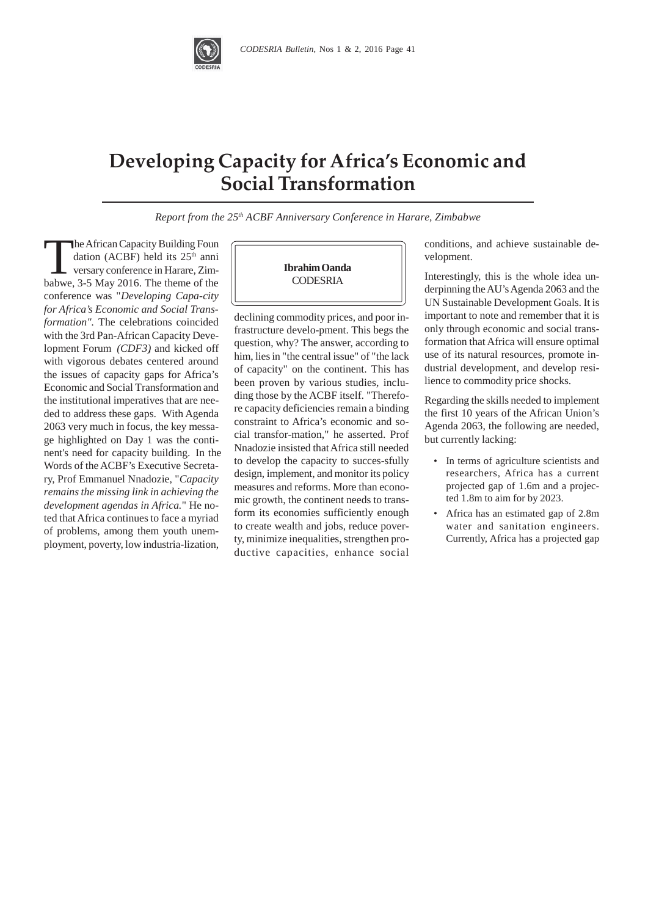

## **Developing Capacity for Africa's Economic and Social Transformation**

*Report from the 25th ACBF Anniversary Conference in Harare, Zimbabwe*

The African Capacity Building Foundation (ACBF) held its 25<sup>th</sup> anniversary conference in Harare, Zimbabwe. 3-5 May 2016. The theme of the dation (ACBF) held its 25<sup>th</sup> anni versary conference in Harare, Zimbabwe, 3-5 May 2016. The theme of the conference was "*Developing Capa-city for Africa's Economic and Social Transformation".* The celebrations coincided with the 3rd Pan-African Capacity Development Forum *(CDF3)*, and kicked off with vigorous debates centered around the issues of capacity gaps for Africa's Economic and Social Transformation and the institutional imperatives that are needed to address these gaps. With Agenda 2063 very much in focus, the key message highlighted on Day 1 was the continent's need for capacity building. In the Words of the ACBF's Executive Secretary, Prof Emmanuel Nnadozie, "*Capacity remains the missing link in achieving the development agendas in Africa.*" He noted that Africa continues to face a myriad of problems, among them youth unemployment, poverty, low industria-lization,



declining commodity prices, and poor infrastructure develo-pment. This begs the question, why? The answer, according to him, lies in "the central issue" of "the lack of capacity" on the continent. This has been proven by various studies, including those by the ACBF itself. "Therefore capacity deficiencies remain a binding constraint to Africa's economic and social transfor-mation," he asserted. Prof Nnadozie insisted that Africa still needed to develop the capacity to succes-sfully design, implement, and monitor its policy measures and reforms. More than economic growth, the continent needs to transform its economies sufficiently enough to create wealth and jobs, reduce poverty, minimize inequalities, strengthen productive capacities, enhance social

conditions, and achieve sustainable development.

Interestingly, this is the whole idea underpinning the AU's Agenda 2063 and the UN Sustainable Development Goals. It is important to note and remember that it is only through economic and social transformation that Africa will ensure optimal use of its natural resources, promote industrial development, and develop resilience to commodity price shocks.

Regarding the skills needed to implement the first 10 years of the African Union's Agenda 2063, the following are needed, but currently lacking:

- In terms of agriculture scientists and researchers, Africa has a current projected gap of 1.6m and a projected 1.8m to aim for by 2023.
- Africa has an estimated gap of 2.8m water and sanitation engineers. Currently, Africa has a projected gap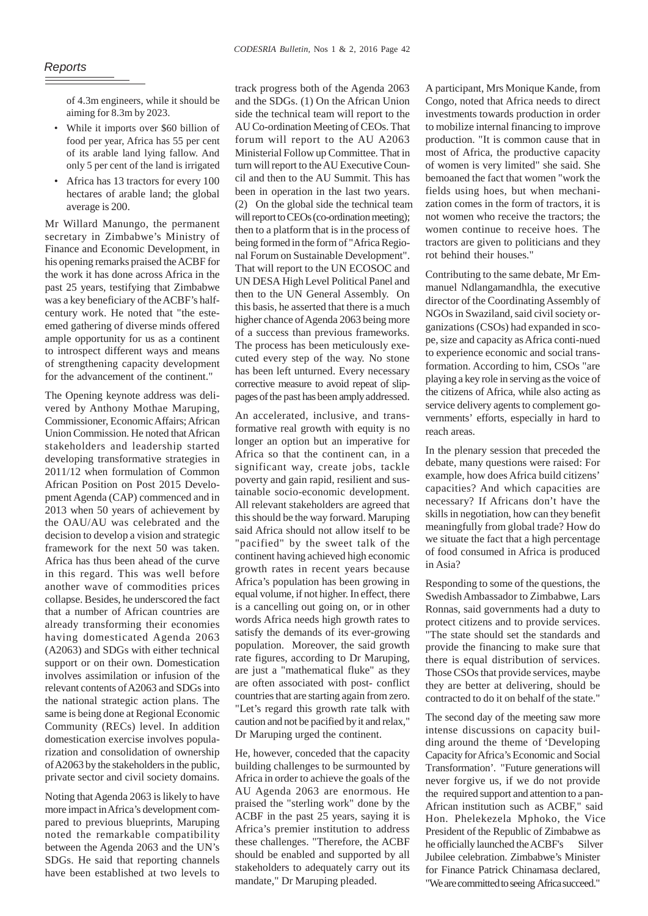of 4.3m engineers, while it should be aiming for 8.3m by 2023.

- While it imports over \$60 billion of food per year, Africa has 55 per cent of its arable land lying fallow. And only 5 per cent of the land is irrigated
- Africa has 13 tractors for every 100 hectares of arable land; the global average is 200.

Mr Willard Manungo, the permanent secretary in Zimbabwe's Ministry of Finance and Economic Development, in his opening remarks praised the ACBF for the work it has done across Africa in the past 25 years, testifying that Zimbabwe was a key beneficiary of the ACBF's halfcentury work. He noted that "the esteemed gathering of diverse minds offered ample opportunity for us as a continent to introspect different ways and means of strengthening capacity development for the advancement of the continent."

The Opening keynote address was delivered by Anthony Mothae Maruping, Commissioner, Economic Affairs; African Union Commission. He noted that African stakeholders and leadership started developing transformative strategies in 2011/12 when formulation of Common African Position on Post 2015 Development Agenda (CAP) commenced and in 2013 when 50 years of achievement by the OAU/AU was celebrated and the decision to develop a vision and strategic framework for the next 50 was taken. Africa has thus been ahead of the curve in this regard. This was well before another wave of commodities prices collapse. Besides, he underscored the fact that a number of African countries are already transforming their economies having domesticated Agenda 2063 (A2063) and SDGs with either technical support or on their own. Domestication involves assimilation or infusion of the relevant contents of A2063 and SDGs into the national strategic action plans. The same is being done at Regional Economic Community (RECs) level. In addition domestication exercise involves popularization and consolidation of ownership of A2063 by the stakeholders in the public, private sector and civil society domains.

Noting that Agenda 2063 is likely to have more impact in Africa's development compared to previous blueprints, Maruping noted the remarkable compatibility between the Agenda 2063 and the UN's SDGs. He said that reporting channels have been established at two levels to

track progress both of the Agenda 2063 and the SDGs. (1) On the African Union side the technical team will report to the AU Co-ordination Meeting of CEOs. That forum will report to the AU A2063 Ministerial Follow up Committee. That in turn will report to the AU Executive Council and then to the AU Summit. This has been in operation in the last two years. (2) On the global side the technical team will report to CEOs (co-ordination meeting); then to a platform that is in the process of being formed in the form of "Africa Regional Forum on Sustainable Development". That will report to the UN ECOSOC and UN DESA High Level Political Panel and then to the UN General Assembly. On this basis, he asserted that there is a much higher chance of Agenda 2063 being more of a success than previous frameworks. The process has been meticulously executed every step of the way. No stone has been left unturned. Every necessary corrective measure to avoid repeat of slippages of the past has been amplyaddressed.

An accelerated, inclusive, and transformative real growth with equity is no longer an option but an imperative for Africa so that the continent can, in a significant way, create jobs, tackle poverty and gain rapid, resilient and sustainable socio-economic development. All relevant stakeholders are agreed that this should be the way forward. Maruping said Africa should not allow itself to be "pacified" by the sweet talk of the continent having achieved high economic growth rates in recent years because Africa's population has been growing in equal volume, if not higher. In effect, there is a cancelling out going on, or in other words Africa needs high growth rates to satisfy the demands of its ever-growing population. Moreover, the said growth rate figures, according to Dr Maruping, are just a "mathematical fluke" as they are often associated with post- conflict countries that are starting again from zero. "Let's regard this growth rate talk with caution and not be pacified by it and relax," Dr Maruping urged the continent.

He, however, conceded that the capacity building challenges to be surmounted by Africa in order to achieve the goals of the AU Agenda 2063 are enormous. He praised the "sterling work" done by the ACBF in the past 25 years, saying it is Africa's premier institution to address these challenges. "Therefore, the ACBF should be enabled and supported by all stakeholders to adequately carry out its mandate," Dr Maruping pleaded.

A participant, Mrs Monique Kande, from Congo, noted that Africa needs to direct investments towards production in order to mobilize internal financing to improve production. "It is common cause that in most of Africa, the productive capacity of women is very limited" she said. She bemoaned the fact that women "work the fields using hoes, but when mechanization comes in the form of tractors, it is not women who receive the tractors; the women continue to receive hoes. The tractors are given to politicians and they rot behind their houses."

Contributing to the same debate, Mr Emmanuel Ndlangamandhla, the executive director of the Coordinating Assembly of NGOs in Swaziland, said civil society organizations (CSOs) had expanded in scope, size and capacity as Africa conti-nued to experience economic and social transformation. According to him, CSOs "are playing a key role in serving as the voice of the citizens of Africa, while also acting as service delivery agents to complement governments' efforts, especially in hard to reach areas.

In the plenary session that preceded the debate, many questions were raised: For example, how does Africa build citizens' capacities? And which capacities are necessary? If Africans don't have the skills in negotiation, how can they benefit meaningfully from global trade? How do we situate the fact that a high percentage of food consumed in Africa is produced in Asia?

Responding to some of the questions, the Swedish Ambassador to Zimbabwe, Lars Ronnas, said governments had a duty to protect citizens and to provide services. "The state should set the standards and provide the financing to make sure that there is equal distribution of services. Those CSOs that provide services, maybe they are better at delivering, should be contracted to do it on behalf of the state."

The second day of the meeting saw more intense discussions on capacity building around the theme of 'Developing Capacity for Africa's Economic and Social Transformation'. "Future generations will never forgive us, if we do not provide the required support and attention to a pan-African institution such as ACBF," said Hon. Phelekezela Mphoko, the Vice President of the Republic of Zimbabwe as he officially launched the ACBF's Silver Jubilee celebration. Zimbabwe's Minister for Finance Patrick Chinamasa declared, "Weare committed to seeing Africasucceed."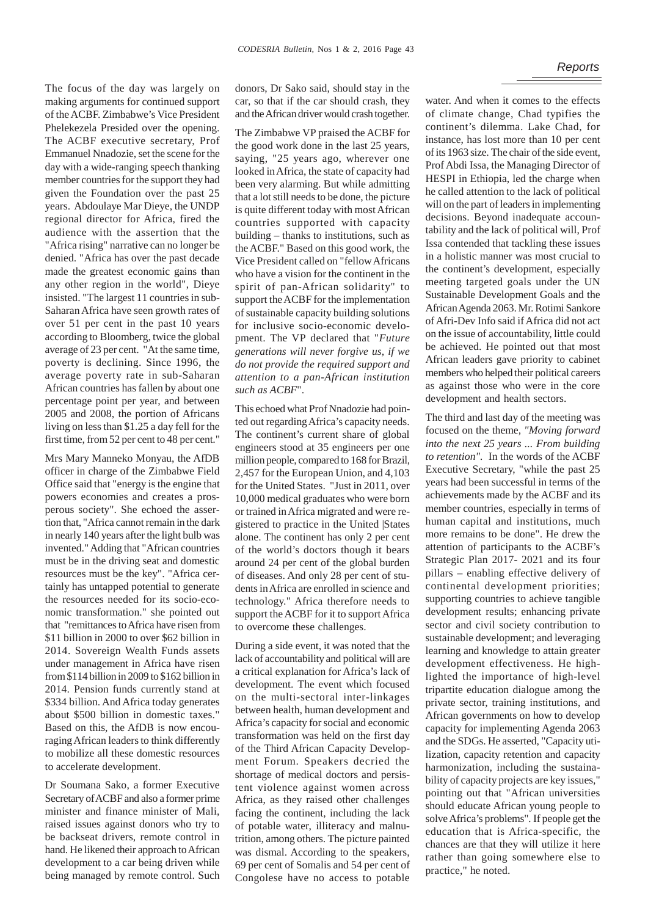## *Reports*

The focus of the day was largely on making arguments for continued support of the ACBF. Zimbabwe's Vice President Phelekezela Presided over the opening. The ACBF executive secretary, Prof Emmanuel Nnadozie, set the scene for the day with a wide-ranging speech thanking member countries for the support they had given the Foundation over the past 25 years. Abdoulaye Mar Dieye, the UNDP regional director for Africa, fired the audience with the assertion that the "Africa rising" narrative can no longer be denied. "Africa has over the past decade made the greatest economic gains than any other region in the world", Dieye insisted. "The largest 11 countries in sub-Saharan Africa have seen growth rates of over 51 per cent in the past 10 years according to Bloomberg, twice the global average of 23 per cent. "At the same time, poverty is declining. Since 1996, the average poverty rate in sub-Saharan African countries has fallen by about one percentage point per year, and between 2005 and 2008, the portion of Africans living on less than \$1.25 a day fell for the first time, from 52 per cent to 48 per cent."

Mrs Mary Manneko Monyau, the AfDB officer in charge of the Zimbabwe Field Office said that "energy is the engine that powers economies and creates a prosperous society". She echoed the assertion that, "Africa cannot remain in the dark in nearly 140 years after the light bulb was invented." Adding that "African countries must be in the driving seat and domestic resources must be the key". "Africa certainly has untapped potential to generate the resources needed for its socio-economic transformation." she pointed out that "remittances to Africa have risen from \$11 billion in 2000 to over \$62 billion in 2014. Sovereign Wealth Funds assets under management in Africa have risen from \$114 billion in 2009 to \$162 billion in 2014. Pension funds currently stand at \$334 billion. And Africa today generates about \$500 billion in domestic taxes." Based on this, the AfDB is now encouraging African leaders to think differently to mobilize all these domestic resources to accelerate development.

Dr Soumana Sako, a former Executive Secretary of ACBF and also a former prime minister and finance minister of Mali, raised issues against donors who try to be backseat drivers, remote control in hand. He likened their approach to African development to a car being driven while being managed by remote control. Such donors, Dr Sako said, should stay in the car, so that if the car should crash, they and the African driver would crash together.

The Zimbabwe VP praised the ACBF for the good work done in the last 25 years, saying, "25 years ago, wherever one looked in Africa, the state of capacity had been very alarming. But while admitting that a lot still needs to be done, the picture is quite different today with most African countries supported with capacity building – thanks to institutions, such as the ACBF." Based on this good work, the Vice President called on "fellow Africans who have a vision for the continent in the spirit of pan-African solidarity" to support the ACBF for the implementation of sustainable capacity building solutions for inclusive socio-economic development. The VP declared that "*Future generations will never forgive us, if we do not provide the required support and attention to a pan-African institution such as ACBF*".

This echoed what Prof Nnadozie had pointed out regarding Africa's capacity needs. The continent's current share of global engineers stood at 35 engineers per one million people, compared to 168 for Brazil, 2,457 for the European Union, and 4,103 for the United States. "Just in 2011, over 10,000 medical graduates who were born or trained in Africa migrated and were registered to practice in the United |States alone. The continent has only 2 per cent of the world's doctors though it bears around 24 per cent of the global burden of diseases. And only 28 per cent of students in Africa are enrolled in science and technology." Africa therefore needs to support the ACBF for it to support Africa to overcome these challenges.

During a side event, it was noted that the lack of accountability and political will are a critical explanation for Africa's lack of development. The event which focused on the multi-sectoral inter-linkages between health, human development and Africa's capacity for social and economic transformation was held on the first day of the Third African Capacity Development Forum. Speakers decried the shortage of medical doctors and persistent violence against women across Africa, as they raised other challenges facing the continent, including the lack of potable water, illiteracy and malnutrition, among others. The picture painted was dismal. According to the speakers, 69 per cent of Somalis and 54 per cent of Congolese have no access to potable

water. And when it comes to the effects of climate change, Chad typifies the continent's dilemma. Lake Chad, for instance, has lost more than 10 per cent of its 1963 size. The chair of the side event, Prof Abdi Issa, the Managing Director of HESPI in Ethiopia, led the charge when he called attention to the lack of political will on the part of leaders in implementing decisions. Beyond inadequate accountability and the lack of political will, Prof Issa contended that tackling these issues in a holistic manner was most crucial to the continent's development, especially meeting targeted goals under the UN Sustainable Development Goals and the African Agenda 2063. Mr. Rotimi Sankore of Afri-Dev Info said if Africa did not act on the issue of accountability, little could be achieved. He pointed out that most African leaders gave priority to cabinet members who helped their political careers as against those who were in the core development and health sectors.

The third and last day of the meeting was focused on the theme, *"Moving forward into the next 25 years ... From building to retention".* In the words of the ACBF Executive Secretary, "while the past 25 years had been successful in terms of the achievements made by the ACBF and its member countries, especially in terms of human capital and institutions, much more remains to be done". He drew the attention of participants to the ACBF's Strategic Plan 2017- 2021 and its four pillars – enabling effective delivery of continental development priorities; supporting countries to achieve tangible development results; enhancing private sector and civil society contribution to sustainable development; and leveraging learning and knowledge to attain greater development effectiveness. He highlighted the importance of high-level tripartite education dialogue among the private sector, training institutions, and African governments on how to develop capacity for implementing Agenda 2063 and the SDGs. He asserted, "Capacity utilization, capacity retention and capacity harmonization, including the sustainability of capacity projects are key issues," pointing out that "African universities should educate African young people to solve Africa's problems"*.* If people get the education that is Africa-specific, the chances are that they will utilize it here rather than going somewhere else to practice," he noted.